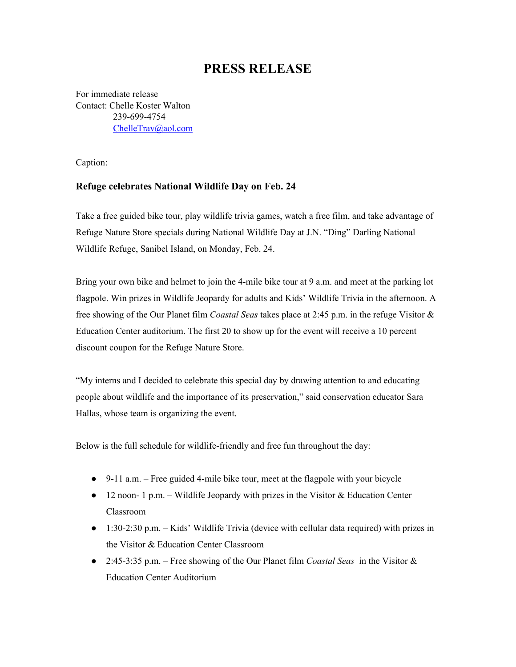## **PRESS RELEASE**

For immediate release Contact: Chelle Koster Walton 239-699-4754 [ChelleTrav@aol.com](mailto:ChelleTrav@aol.com)

Caption:

## **Refuge celebrates National Wildlife Day on Feb. 24**

Take a free guided bike tour, play wildlife trivia games, watch a free film, and take advantage of Refuge Nature Store specials during National Wildlife Day at J.N. "Ding" Darling National Wildlife Refuge, Sanibel Island, on Monday, Feb. 24.

Bring your own bike and helmet to join the 4-mile bike tour at 9 a.m. and meet at the parking lot flagpole. Win prizes in Wildlife Jeopardy for adults and Kids' Wildlife Trivia in the afternoon. A free showing of the Our Planet film *Coastal Seas* takes place at 2:45 p.m. in the refuge Visitor & Education Center auditorium. The first 20 to show up for the event will receive a 10 percent discount coupon for the Refuge Nature Store.

"My interns and I decided to celebrate this special day by drawing attention to and educating people about wildlife and the importance of its preservation," said conservation educator Sara Hallas, whose team is organizing the event.

Below is the full schedule for wildlife-friendly and free fun throughout the day:

- 9-11 a.m. Free guided 4-mile bike tour, meet at the flagpole with your bicycle
- $\bullet$  12 noon- 1 p.m. Wildlife Jeopardy with prizes in the Visitor & Education Center Classroom
- 1:30-2:30 p.m. Kids' Wildlife Trivia (device with cellular data required) with prizes in the Visitor & Education Center Classroom
- 2:45-3:35 p.m. Free showing of the Our Planet film *Coastal Seas* in the Visitor & Education Center Auditorium